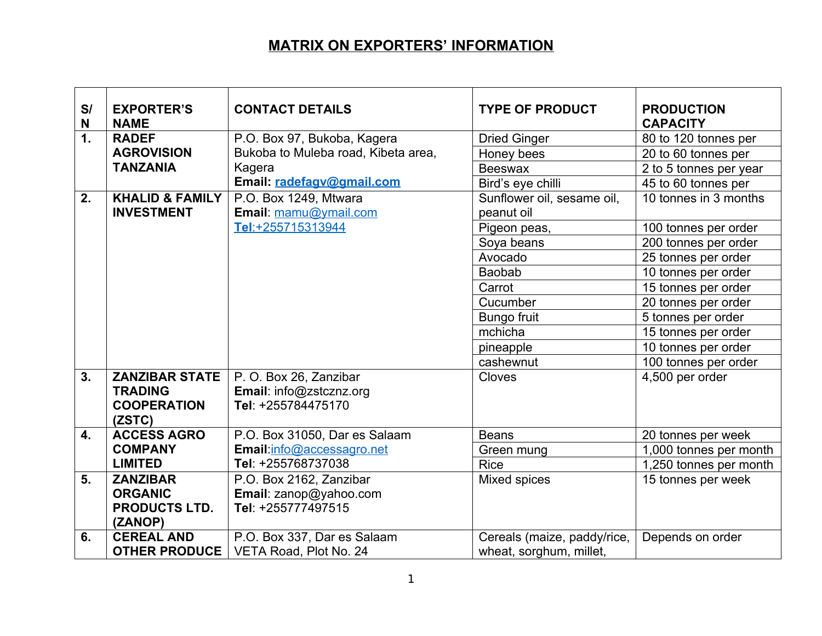## **MATRIX ON EXPORTERS' INFORMATION**

| S/<br>N | <b>EXPORTER'S</b><br><b>NAME</b> | <b>CONTACT DETAILS</b>              | <b>TYPE OF PRODUCT</b>      | <b>PRODUCTION</b><br><b>CAPACITY</b> |
|---------|----------------------------------|-------------------------------------|-----------------------------|--------------------------------------|
| 1.      | <b>RADEF</b>                     | P.O. Box 97, Bukoba, Kagera         | <b>Dried Ginger</b>         | 80 to 120 tonnes per                 |
|         | <b>AGROVISION</b>                | Bukoba to Muleba road, Kibeta area, | Honey bees                  | 20 to 60 tonnes per                  |
|         | <b>TANZANIA</b>                  | Kagera                              | <b>Beeswax</b>              | 2 to 5 tonnes per year               |
|         |                                  | Email: radefagv@gmail.com           | Bird's eye chilli           | 45 to 60 tonnes per                  |
| 2.      | <b>KHALID &amp; FAMILY</b>       | P.O. Box 1249, Mtwara               | Sunflower oil, sesame oil,  | 10 tonnes in 3 months                |
|         | <b>INVESTMENT</b>                | Email: mamu@ymail.com               | peanut oil                  |                                      |
|         |                                  | Tel:+255715313944                   | Pigeon peas,                | 100 tonnes per order                 |
|         |                                  |                                     | Soya beans                  | 200 tonnes per order                 |
|         |                                  |                                     | Avocado                     | 25 tonnes per order                  |
|         |                                  |                                     | <b>Baobab</b>               | 10 tonnes per order                  |
|         |                                  |                                     | Carrot                      | 15 tonnes per order                  |
|         |                                  |                                     | Cucumber                    | 20 tonnes per order                  |
|         |                                  |                                     | <b>Bungo fruit</b>          | 5 tonnes per order                   |
|         |                                  |                                     | mchicha                     | 15 tonnes per order                  |
|         |                                  |                                     | pineapple                   | 10 tonnes per order                  |
|         |                                  |                                     | cashewnut                   | 100 tonnes per order                 |
| 3.      | <b>ZANZIBAR STATE</b>            | P. O. Box 26, Zanzibar              | Cloves                      | 4,500 per order                      |
|         | <b>TRADING</b>                   | Email: info@zstcznz.org             |                             |                                      |
|         | <b>COOPERATION</b>               | Tel: +255784475170                  |                             |                                      |
|         | (ZSTC)                           |                                     |                             |                                      |
| 4.      | <b>ACCESS AGRO</b>               | P.O. Box 31050, Dar es Salaam       | <b>Beans</b>                | 20 tonnes per week                   |
|         | <b>COMPANY</b>                   | Email:info@accessagro.net           | Green mung                  | 1,000 tonnes per month               |
|         | <b>LIMITED</b>                   | Tel: +255768737038                  | <b>Rice</b>                 | 1,250 tonnes per month               |
| 5.      | <b>ZANZIBAR</b>                  | P.O. Box 2162, Zanzibar             | Mixed spices                | 15 tonnes per week                   |
|         | <b>ORGANIC</b>                   | Email: zanop@yahoo.com              |                             |                                      |
|         | <b>PRODUCTS LTD.</b>             | Tel: +255777497515                  |                             |                                      |
|         | (ZANOP)                          |                                     |                             |                                      |
| 6.      | <b>CEREAL AND</b>                | P.O. Box 337, Dar es Salaam         | Cereals (maize, paddy/rice, | Depends on order                     |
|         | <b>OTHER PRODUCE</b>             | VETA Road, Plot No. 24              | wheat, sorghum, millet,     |                                      |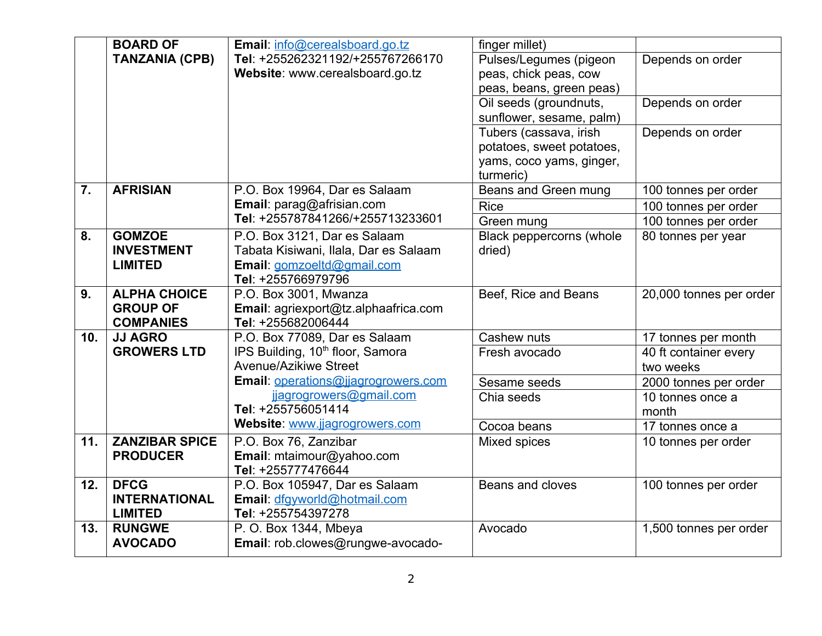|     | <b>BOARD OF</b>                        | Email: info@cerealsboard.go.tz                             | finger millet)                        |                         |
|-----|----------------------------------------|------------------------------------------------------------|---------------------------------------|-------------------------|
|     | <b>TANZANIA (CPB)</b>                  | Tel: +255262321192/+255767266170                           | Pulses/Legumes (pigeon                | Depends on order        |
|     |                                        | Website: www.cerealsboard.go.tz                            | peas, chick peas, cow                 |                         |
|     |                                        |                                                            | peas, beans, green peas)              |                         |
|     |                                        |                                                            | Oil seeds (groundnuts,                | Depends on order        |
|     |                                        |                                                            | sunflower, sesame, palm)              |                         |
|     |                                        |                                                            | Tubers (cassava, irish                | Depends on order        |
|     |                                        |                                                            | potatoes, sweet potatoes,             |                         |
|     |                                        |                                                            | yams, coco yams, ginger,<br>turmeric) |                         |
| 7.  | <b>AFRISIAN</b>                        | P.O. Box 19964, Dar es Salaam                              | Beans and Green mung                  | 100 tonnes per order    |
|     |                                        | Email: parag@afrisian.com                                  | <b>Rice</b>                           | 100 tonnes per order    |
|     |                                        | Tel: +255787841266/+255713233601                           | Green mung                            | 100 tonnes per order    |
| 8.  | <b>GOMZOE</b>                          | P.O. Box 3121, Dar es Salaam                               | Black peppercorns (whole              | 80 tonnes per year      |
|     | <b>INVESTMENT</b>                      | Tabata Kisiwani, Ilala, Dar es Salaam                      | dried)                                |                         |
|     | <b>LIMITED</b>                         | Email: gomzoeltd@gmail.com                                 |                                       |                         |
|     |                                        | Tel: +255766979796                                         |                                       |                         |
| 9.  | <b>ALPHA CHOICE</b><br><b>GROUP OF</b> | P.O. Box 3001, Mwanza                                      | Beef, Rice and Beans                  | 20,000 tonnes per order |
|     | <b>COMPANIES</b>                       | Email: agriexport@tz.alphaafrica.com<br>Tel: +255682006444 |                                       |                         |
| 10. | <b>JJ AGRO</b>                         | P.O. Box 77089, Dar es Salaam                              | Cashew nuts                           | 17 tonnes per month     |
|     | <b>GROWERS LTD</b>                     | IPS Building, 10 <sup>th</sup> floor, Samora               | Fresh avocado                         | 40 ft container every   |
|     |                                        | <b>Avenue/Azikiwe Street</b>                               |                                       | two weeks               |
|     |                                        | Email: operations@jjagrogrowers.com                        | Sesame seeds                          | 2000 tonnes per order   |
|     |                                        | jjagrogrowers@gmail.com                                    | Chia seeds                            | 10 tonnes once a        |
|     |                                        | Tel: +255756051414                                         |                                       | month                   |
|     |                                        | Website: www.jjagrogrowers.com                             | Cocoa beans                           | 17 tonnes once a        |
| 11. | <b>ZANZIBAR SPICE</b>                  | P.O. Box 76, Zanzibar                                      | Mixed spices                          | 10 tonnes per order     |
|     | <b>PRODUCER</b>                        | Email: mtaimour@yahoo.com                                  |                                       |                         |
| 12. | <b>DFCG</b>                            | Tel: +255777476644<br>P.O. Box 105947, Dar es Salaam       | Beans and cloves                      | 100 tonnes per order    |
|     | <b>INTERNATIONAL</b>                   | Email: dfgyworld@hotmail.com                               |                                       |                         |
|     | <b>LIMITED</b>                         | Tel: +255754397278                                         |                                       |                         |
| 13. | <b>RUNGWE</b>                          | P. O. Box 1344, Mbeya                                      | Avocado                               | 1,500 tonnes per order  |
|     | <b>AVOCADO</b>                         | Email: rob.clowes@rungwe-avocado-                          |                                       |                         |
|     |                                        |                                                            |                                       |                         |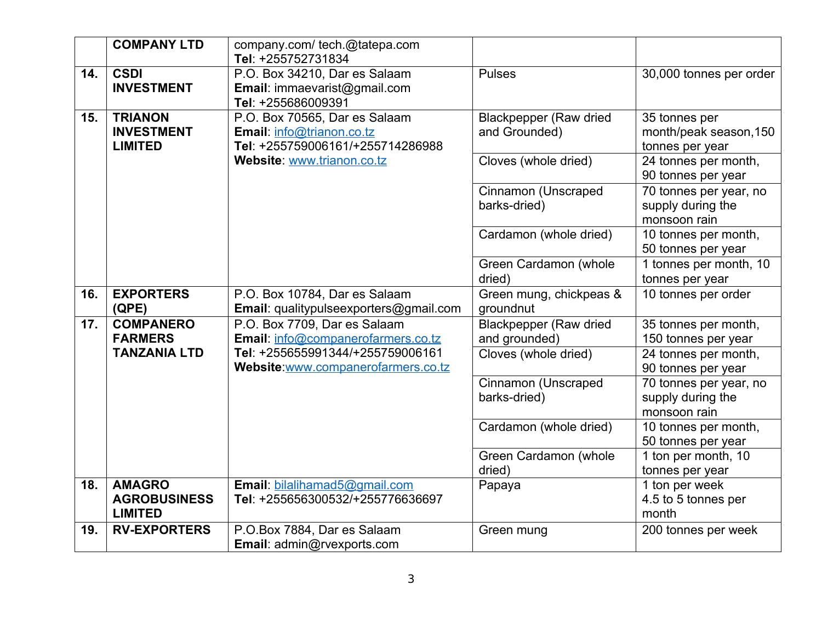|     | <b>COMPANY LTD</b>  | company.com/ tech.@tatepa.com                       |                                |                         |
|-----|---------------------|-----------------------------------------------------|--------------------------------|-------------------------|
| 14. | <b>CSDI</b>         | Tel: +255752731834<br>P.O. Box 34210, Dar es Salaam | <b>Pulses</b>                  | 30,000 tonnes per order |
|     | <b>INVESTMENT</b>   | Email: immaevarist@gmail.com                        |                                |                         |
|     |                     | Tel: +255686009391                                  |                                |                         |
| 15. | <b>TRIANON</b>      | P.O. Box 70565, Dar es Salaam                       | <b>Blackpepper (Raw dried)</b> | 35 tonnes per           |
|     | <b>INVESTMENT</b>   | Email: info@trianon.co.tz                           | and Grounded)                  | month/peak season, 150  |
|     | <b>LIMITED</b>      | Tel: +255759006161/+255714286988                    |                                | tonnes per year         |
|     |                     | Website: www.trianon.co.tz                          | Cloves (whole dried)           | 24 tonnes per month,    |
|     |                     |                                                     |                                | 90 tonnes per year      |
|     |                     |                                                     | Cinnamon (Unscraped            | 70 tonnes per year, no  |
|     |                     |                                                     | barks-dried)                   | supply during the       |
|     |                     |                                                     |                                | monsoon rain            |
|     |                     |                                                     | Cardamon (whole dried)         | 10 tonnes per month,    |
|     |                     |                                                     |                                | 50 tonnes per year      |
|     |                     |                                                     | Green Cardamon (whole          | 1 tonnes per month, 10  |
|     |                     |                                                     | dried)                         | tonnes per year         |
| 16. | <b>EXPORTERS</b>    | P.O. Box 10784, Dar es Salaam                       | Green mung, chickpeas &        | 10 tonnes per order     |
|     | (QPE)               | Email: qualitypulseexporters@gmail.com              | groundnut                      |                         |
| 17. | <b>COMPANERO</b>    | P.O. Box 7709, Dar es Salaam                        | <b>Blackpepper (Raw dried</b>  | 35 tonnes per month,    |
|     | <b>FARMERS</b>      | Email: info@companerofarmers.co.tz                  | and grounded)                  | 150 tonnes per year     |
|     | <b>TANZANIA LTD</b> | Tel: +255655991344/+255759006161                    | Cloves (whole dried)           | 24 tonnes per month,    |
|     |                     | Website www.companerofarmers.co.tz                  |                                | 90 tonnes per year      |
|     |                     |                                                     | Cinnamon (Unscraped            | 70 tonnes per year, no  |
|     |                     |                                                     | barks-dried)                   | supply during the       |
|     |                     |                                                     |                                | monsoon rain            |
|     |                     |                                                     | Cardamon (whole dried)         | 10 tonnes per month,    |
|     |                     |                                                     |                                | 50 tonnes per year      |
|     |                     |                                                     | Green Cardamon (whole          | 1 ton per month, 10     |
|     |                     |                                                     | dried)                         | tonnes per year         |
| 18. | <b>AMAGRO</b>       | Email: bilalihamad5@gmail.com                       | Papaya                         | 1 ton per week          |
|     | <b>AGROBUSINESS</b> | Tel: +255656300532/+255776636697                    |                                | 4.5 to 5 tonnes per     |
|     | <b>LIMITED</b>      |                                                     |                                | month                   |
| 19. | <b>RV-EXPORTERS</b> | P.O.Box 7884, Dar es Salaam                         | Green mung                     | 200 tonnes per week     |
|     |                     | Email: admin@rvexports.com                          |                                |                         |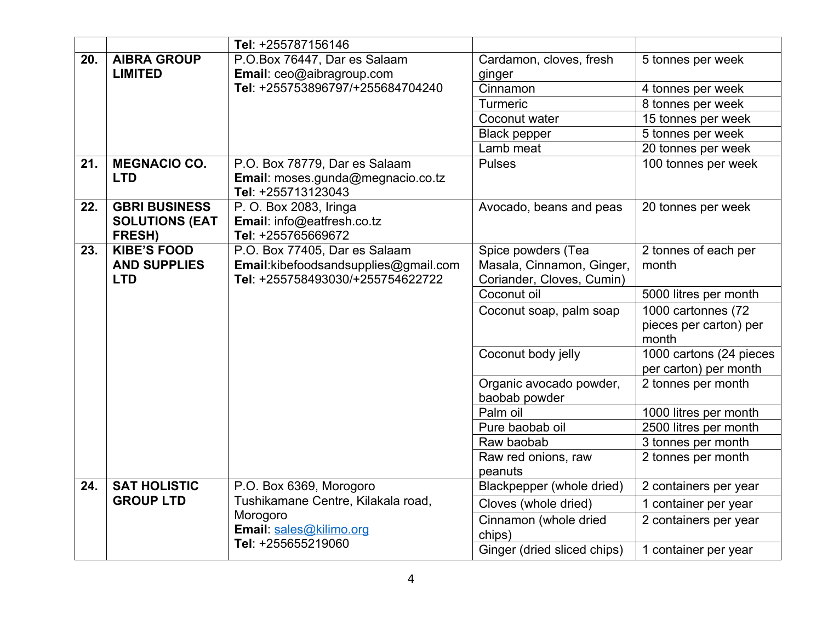|     |                       | Tel: +255787156146                                      |                                          |                                 |
|-----|-----------------------|---------------------------------------------------------|------------------------------------------|---------------------------------|
| 20. | <b>AIBRA GROUP</b>    | P.O.Box 76447, Dar es Salaam                            | Cardamon, cloves, fresh                  | 5 tonnes per week               |
|     | <b>LIMITED</b>        | Email: ceo@aibragroup.com                               | ginger                                   |                                 |
|     |                       | Tel: +255753896797/+255684704240                        | Cinnamon                                 | 4 tonnes per week               |
|     |                       |                                                         | <b>Turmeric</b>                          | 8 tonnes per week               |
|     |                       |                                                         | Coconut water                            | 15 tonnes per week              |
|     |                       |                                                         | <b>Black pepper</b>                      | 5 tonnes per week               |
|     |                       |                                                         | Lamb meat                                | 20 tonnes per week              |
| 21. | <b>MEGNACIO CO.</b>   | P.O. Box 78779, Dar es Salaam                           | <b>Pulses</b>                            | 100 tonnes per week             |
|     | <b>LTD</b>            | Email: moses.gunda@megnacio.co.tz<br>Tel: +255713123043 |                                          |                                 |
| 22. | <b>GBRI BUSINESS</b>  | P. O. Box 2083, Iringa                                  | Avocado, beans and peas                  | 20 tonnes per week              |
|     | <b>SOLUTIONS (EAT</b> | Email: info@eatfresh.co.tz                              |                                          |                                 |
|     | FRESH)                | Tel: +255765669672                                      |                                          |                                 |
| 23. | <b>KIBE'S FOOD</b>    | P.O. Box 77405, Dar es Salaam                           | Spice powders (Tea                       | 2 tonnes of each per            |
|     | <b>AND SUPPLIES</b>   | Email: kibefoodsandsupplies@gmail.com                   | Masala, Cinnamon, Ginger,                | month                           |
|     | <b>LTD</b>            | Tel: +255758493030/+255754622722                        | Coriander, Cloves, Cumin)<br>Coconut oil |                                 |
|     |                       |                                                         |                                          | 5000 litres per month           |
|     |                       |                                                         | Coconut soap, palm soap                  | 1000 cartonnes (72              |
|     |                       |                                                         |                                          | pieces per carton) per<br>month |
|     |                       |                                                         | Coconut body jelly                       | 1000 cartons (24 pieces         |
|     |                       |                                                         |                                          | per carton) per month           |
|     |                       |                                                         | Organic avocado powder,                  | 2 tonnes per month              |
|     |                       |                                                         | baobab powder                            |                                 |
|     |                       |                                                         | Palm oil                                 | 1000 litres per month           |
|     |                       |                                                         | Pure baobab oil                          | 2500 litres per month           |
|     |                       |                                                         | Raw baobab                               | 3 tonnes per month              |
|     |                       |                                                         | Raw red onions, raw                      | 2 tonnes per month              |
|     |                       |                                                         | peanuts                                  |                                 |
| 24. | <b>SAT HOLISTIC</b>   | P.O. Box 6369, Morogoro                                 | Blackpepper (whole dried)                | 2 containers per year           |
|     | <b>GROUP LTD</b>      | Tushikamane Centre, Kilakala road,                      | Cloves (whole dried)                     | 1 container per year            |
|     |                       | Morogoro                                                | Cinnamon (whole dried                    | 2 containers per year           |
|     |                       | Email: sales@kilimo.org                                 | chips)                                   |                                 |
|     |                       | Tel: +255655219060                                      | Ginger (dried sliced chips)              | 1 container per year            |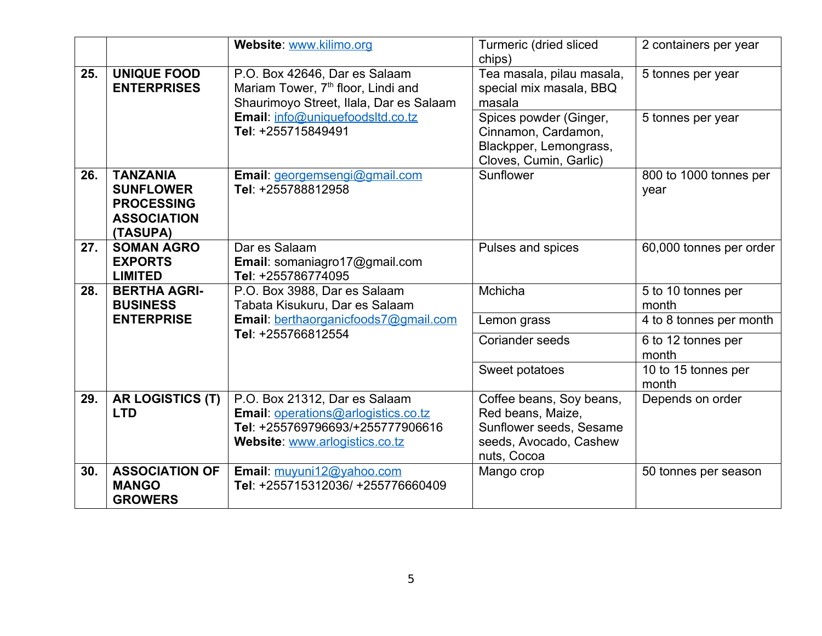|     |                                                                                            | Website: www.kilimo.org                                                                                                                           | Turmeric (dried sliced<br>chips)                                                                                  | 2 containers per year          |
|-----|--------------------------------------------------------------------------------------------|---------------------------------------------------------------------------------------------------------------------------------------------------|-------------------------------------------------------------------------------------------------------------------|--------------------------------|
| 25. | <b>UNIQUE FOOD</b><br><b>ENTERPRISES</b>                                                   | P.O. Box 42646, Dar es Salaam<br>Mariam Tower, 7 <sup>th</sup> floor, Lindi and<br>Shaurimoyo Street, Ilala, Dar es Salaam                        | Tea masala, pilau masala,<br>special mix masala, BBQ<br>masala                                                    | 5 tonnes per year              |
|     |                                                                                            | Email: info@uniquefoodsltd.co.tz<br>Tel: +255715849491                                                                                            | Spices powder (Ginger,<br>Cinnamon, Cardamon,<br>Blackpper, Lemongrass,<br>Cloves, Cumin, Garlic)                 | 5 tonnes per year              |
| 26. | <b>TANZANIA</b><br><b>SUNFLOWER</b><br><b>PROCESSING</b><br><b>ASSOCIATION</b><br>(TASUPA) | Email: georgemsengi@gmail.com<br>Tel: +255788812958                                                                                               | Sunflower                                                                                                         | 800 to 1000 tonnes per<br>year |
| 27. | <b>SOMAN AGRO</b><br><b>EXPORTS</b><br><b>LIMITED</b>                                      | Dar es Salaam<br>Email: somaniagro17@gmail.com<br>Tel: +255786774095                                                                              | Pulses and spices                                                                                                 | 60,000 tonnes per order        |
| 28. | <b>BERTHA AGRI-</b><br><b>BUSINESS</b>                                                     | P.O. Box 3988, Dar es Salaam<br>Tabata Kisukuru, Dar es Salaam                                                                                    | Mchicha                                                                                                           | 5 to 10 tonnes per<br>month    |
|     | <b>ENTERPRISE</b>                                                                          | Email: berthaorganicfoods7@gmail.com                                                                                                              | Lemon grass                                                                                                       | 4 to 8 tonnes per month        |
|     |                                                                                            | Tel: +255766812554                                                                                                                                | <b>Coriander seeds</b>                                                                                            | 6 to 12 tonnes per<br>month    |
|     |                                                                                            |                                                                                                                                                   | Sweet potatoes                                                                                                    | 10 to 15 tonnes per<br>month   |
| 29. | <b>AR LOGISTICS (T)</b><br><b>LTD</b>                                                      | P.O. Box 21312, Dar es Salaam<br><b>Email: operations@arlogistics.co.tz</b><br>Tel: +255769796693/+255777906616<br>Website: www.arlogistics.co.tz | Coffee beans, Soy beans,<br>Red beans, Maize,<br>Sunflower seeds, Sesame<br>seeds, Avocado, Cashew<br>nuts, Cocoa | Depends on order               |
| 30. | <b>ASSOCIATION OF</b><br><b>MANGO</b><br><b>GROWERS</b>                                    | Email: muyuni12@yahoo.com<br>Tel: +255715312036/ +255776660409                                                                                    | Mango crop                                                                                                        | 50 tonnes per season           |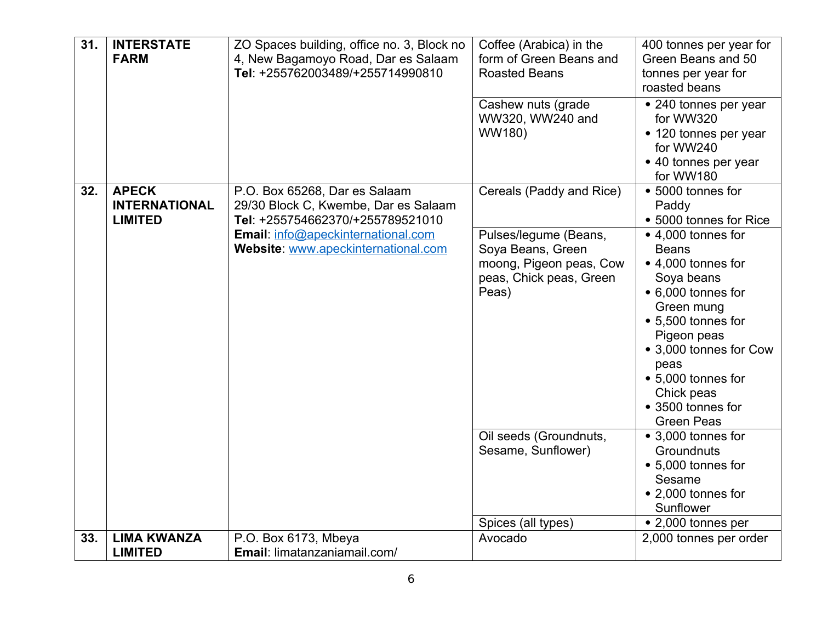| 31. | <b>INTERSTATE</b><br><b>FARM</b>                       | ZO Spaces building, office no. 3, Block no<br>4, New Bagamoyo Road, Dar es Salaam<br>Tel: +255762003489/+255714990810 | Coffee (Arabica) in the<br>form of Green Beans and<br><b>Roasted Beans</b><br>Cashew nuts (grade          | 400 tonnes per year for<br>Green Beans and 50<br>tonnes per year for<br>roasted beans<br>• 240 tonnes per year                                                                                                                                                  |
|-----|--------------------------------------------------------|-----------------------------------------------------------------------------------------------------------------------|-----------------------------------------------------------------------------------------------------------|-----------------------------------------------------------------------------------------------------------------------------------------------------------------------------------------------------------------------------------------------------------------|
|     |                                                        |                                                                                                                       | WW320, WW240 and<br>WW180)                                                                                | for WW320<br>• 120 tonnes per year<br>for WW240<br>• 40 tonnes per year<br>for WW180                                                                                                                                                                            |
| 32. | <b>APECK</b><br><b>INTERNATIONAL</b><br><b>LIMITED</b> | P.O. Box 65268, Dar es Salaam<br>29/30 Block C, Kwembe, Dar es Salaam<br>Tel: +255754662370/+255789521010             | Cereals (Paddy and Rice)                                                                                  | • 5000 tonnes for<br>Paddy<br>• 5000 tonnes for Rice                                                                                                                                                                                                            |
|     |                                                        | Email: info@apeckinternational.com<br>Website: www.apeckinternational.com                                             | Pulses/legume (Beans,<br>Soya Beans, Green<br>moong, Pigeon peas, Cow<br>peas, Chick peas, Green<br>Peas) | • 4,000 tonnes for<br><b>Beans</b><br>• 4,000 tonnes for<br>Soya beans<br>• 6,000 tonnes for<br>Green mung<br>• 5,500 tonnes for<br>Pigeon peas<br>• 3,000 tonnes for Cow<br>peas<br>• 5,000 tonnes for<br>Chick peas<br>• 3500 tonnes for<br><b>Green Peas</b> |
|     |                                                        |                                                                                                                       | Oil seeds (Groundnuts,<br>Sesame, Sunflower)                                                              | • 3,000 tonnes for<br>Groundnuts<br>• 5,000 tonnes for<br>Sesame<br>• 2,000 tonnes for<br>Sunflower                                                                                                                                                             |
|     |                                                        |                                                                                                                       | Spices (all types)                                                                                        | • 2,000 tonnes per                                                                                                                                                                                                                                              |
| 33. | <b>LIMA KWANZA</b>                                     | P.O. Box 6173, Mbeya                                                                                                  | Avocado                                                                                                   | 2,000 tonnes per order                                                                                                                                                                                                                                          |
|     | <b>LIMITED</b>                                         | Email: limatanzaniamail.com/                                                                                          |                                                                                                           |                                                                                                                                                                                                                                                                 |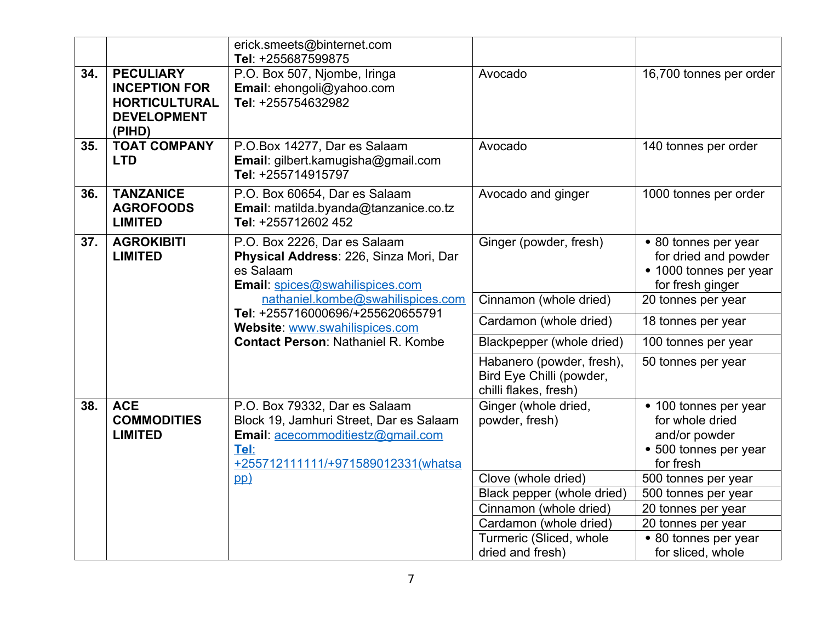|     |                                                                                                  | erick.smeets@binternet.com<br>Tel: +255687599875                                                                                                            |                                                                                |                                                                                                 |
|-----|--------------------------------------------------------------------------------------------------|-------------------------------------------------------------------------------------------------------------------------------------------------------------|--------------------------------------------------------------------------------|-------------------------------------------------------------------------------------------------|
| 34. | <b>PECULIARY</b><br><b>INCEPTION FOR</b><br><b>HORTICULTURAL</b><br><b>DEVELOPMENT</b><br>(PIHD) | P.O. Box 507, Njombe, Iringa<br>Email: ehongoli@yahoo.com<br>Tel: +255754632982                                                                             | Avocado                                                                        | 16,700 tonnes per order                                                                         |
| 35. | <b>TOAT COMPANY</b><br><b>LTD</b>                                                                | P.O.Box 14277, Dar es Salaam<br>Email: gilbert.kamugisha@gmail.com<br>Tel: +255714915797                                                                    | Avocado                                                                        | 140 tonnes per order                                                                            |
| 36. | <b>TANZANICE</b><br><b>AGROFOODS</b><br><b>LIMITED</b>                                           | P.O. Box 60654, Dar es Salaam<br>Email: matilda.byanda@tanzanice.co.tz<br>Tel: +255712602 452                                                               | Avocado and ginger                                                             | 1000 tonnes per order                                                                           |
| 37. | <b>AGROKIBITI</b><br><b>LIMITED</b>                                                              | P.O. Box 2226, Dar es Salaam<br>Physical Address: 226, Sinza Mori, Dar<br>es Salaam<br>Email: spices@swahilispices.com                                      | Ginger (powder, fresh)                                                         | • 80 tonnes per year<br>for dried and powder<br>• 1000 tonnes per year<br>for fresh ginger      |
|     |                                                                                                  | nathaniel.kombe@swahilispices.com                                                                                                                           | Cinnamon (whole dried)                                                         | 20 tonnes per year                                                                              |
|     |                                                                                                  | Tel: +255716000696/+255620655791<br>Website: www.swahilispices.com                                                                                          | Cardamon (whole dried)                                                         | 18 tonnes per year                                                                              |
|     |                                                                                                  | <b>Contact Person: Nathaniel R. Kombe</b>                                                                                                                   | Blackpepper (whole dried)                                                      | 100 tonnes per year                                                                             |
|     |                                                                                                  |                                                                                                                                                             | Habanero (powder, fresh),<br>Bird Eye Chilli (powder,<br>chilli flakes, fresh) | 50 tonnes per year                                                                              |
| 38. | <b>ACE</b><br><b>COMMODITIES</b><br><b>LIMITED</b>                                               | P.O. Box 79332, Dar es Salaam<br>Block 19, Jamhuri Street, Dar es Salaam<br>Email: acecommoditiestz@gmail.com<br>Tel:<br>+255712111111/+971589012331(whatsa | Ginger (whole dried,<br>powder, fresh)                                         | • 100 tonnes per year<br>for whole dried<br>and/or powder<br>• 500 tonnes per year<br>for fresh |
|     |                                                                                                  | pp)                                                                                                                                                         | Clove (whole dried)                                                            | 500 tonnes per year                                                                             |
|     |                                                                                                  |                                                                                                                                                             | Black pepper (whole dried)                                                     | 500 tonnes per year                                                                             |
|     |                                                                                                  |                                                                                                                                                             | Cinnamon (whole dried)                                                         | 20 tonnes per year                                                                              |
|     |                                                                                                  |                                                                                                                                                             | Cardamon (whole dried)                                                         | 20 tonnes per year                                                                              |
|     |                                                                                                  |                                                                                                                                                             | Turmeric (Sliced, whole<br>dried and fresh)                                    | • 80 tonnes per year<br>for sliced, whole                                                       |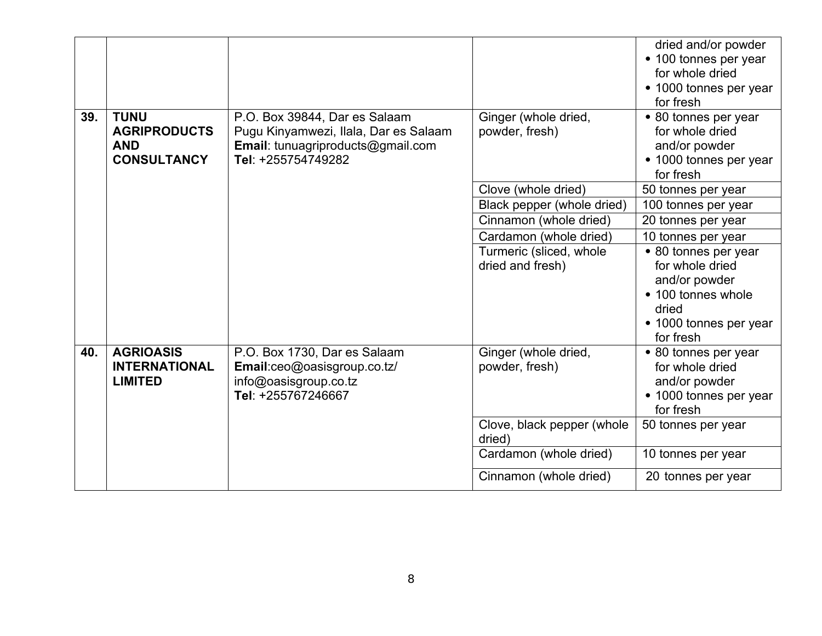| 39. | <b>TUNU</b>                                             |                                                                                                                                   |                                        | dried and/or powder<br>• 100 tonnes per year<br>for whole dried<br>• 1000 tonnes per year<br>for fresh |
|-----|---------------------------------------------------------|-----------------------------------------------------------------------------------------------------------------------------------|----------------------------------------|--------------------------------------------------------------------------------------------------------|
|     | <b>AGRIPRODUCTS</b><br><b>AND</b><br><b>CONSULTANCY</b> | P.O. Box 39844, Dar es Salaam<br>Pugu Kinyamwezi, Ilala, Dar es Salaam<br>Email: tunuagriproducts@gmail.com<br>Tel: +255754749282 | Ginger (whole dried,<br>powder, fresh) | • 80 tonnes per year<br>for whole dried<br>and/or powder<br>• 1000 tonnes per year<br>for fresh        |
|     |                                                         |                                                                                                                                   | Clove (whole dried)                    | 50 tonnes per year                                                                                     |
|     |                                                         |                                                                                                                                   | Black pepper (whole dried)             | 100 tonnes per year                                                                                    |
|     |                                                         |                                                                                                                                   | Cinnamon (whole dried)                 | 20 tonnes per year                                                                                     |
|     |                                                         |                                                                                                                                   | Cardamon (whole dried)                 | 10 tonnes per year                                                                                     |
|     |                                                         |                                                                                                                                   | Turmeric (sliced, whole                | • 80 tonnes per year                                                                                   |
|     |                                                         |                                                                                                                                   | dried and fresh)                       | for whole dried                                                                                        |
|     |                                                         |                                                                                                                                   |                                        | and/or powder                                                                                          |
|     |                                                         |                                                                                                                                   |                                        | • 100 tonnes whole                                                                                     |
|     |                                                         |                                                                                                                                   |                                        | dried                                                                                                  |
|     |                                                         |                                                                                                                                   |                                        | • 1000 tonnes per year                                                                                 |
| 40. | <b>AGRIOASIS</b>                                        |                                                                                                                                   |                                        | for fresh                                                                                              |
|     | <b>INTERNATIONAL</b>                                    | P.O. Box 1730, Dar es Salaam<br>Email:ceo@oasisgroup.co.tz/                                                                       | Ginger (whole dried,<br>powder, fresh) | • 80 tonnes per year<br>for whole dried                                                                |
|     | <b>LIMITED</b>                                          | info@oasisgroup.co.tz                                                                                                             |                                        | and/or powder                                                                                          |
|     |                                                         | Tel: +255767246667                                                                                                                |                                        | • 1000 tonnes per year                                                                                 |
|     |                                                         |                                                                                                                                   |                                        | for fresh                                                                                              |
|     |                                                         |                                                                                                                                   | Clove, black pepper (whole             | 50 tonnes per year                                                                                     |
|     |                                                         |                                                                                                                                   | dried)                                 |                                                                                                        |
|     |                                                         |                                                                                                                                   | Cardamon (whole dried)                 | 10 tonnes per year                                                                                     |
|     |                                                         |                                                                                                                                   | Cinnamon (whole dried)                 | 20 tonnes per year                                                                                     |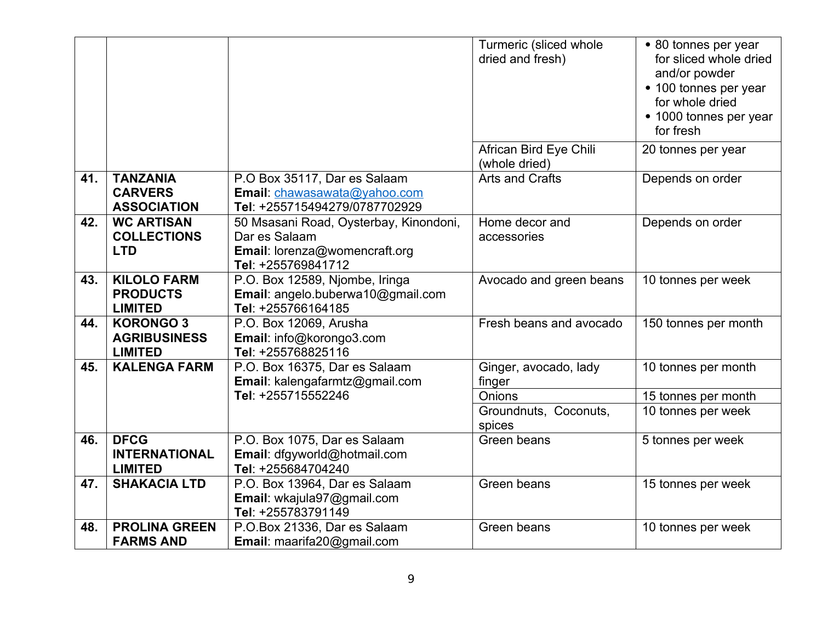|     |                                                           |                                                                                                                | Turmeric (sliced whole<br>dried and fresh) | • 80 tonnes per year<br>for sliced whole dried<br>and/or powder<br>• 100 tonnes per year<br>for whole dried<br>• 1000 tonnes per year<br>for fresh |
|-----|-----------------------------------------------------------|----------------------------------------------------------------------------------------------------------------|--------------------------------------------|----------------------------------------------------------------------------------------------------------------------------------------------------|
|     |                                                           |                                                                                                                | African Bird Eye Chili<br>(whole dried)    | 20 tonnes per year                                                                                                                                 |
| 41. | <b>TANZANIA</b><br><b>CARVERS</b><br><b>ASSOCIATION</b>   | P.O Box 35117, Dar es Salaam<br>Email: chawasawata@yahoo.com<br>Tel: +255715494279/0787702929                  | <b>Arts and Crafts</b>                     | Depends on order                                                                                                                                   |
| 42. | <b>WC ARTISAN</b><br><b>COLLECTIONS</b><br><b>LTD</b>     | 50 Msasani Road, Oysterbay, Kinondoni,<br>Dar es Salaam<br>Email: lorenza@womencraft.org<br>Tel: +255769841712 | Home decor and<br>accessories              | Depends on order                                                                                                                                   |
| 43. | <b>KILOLO FARM</b><br><b>PRODUCTS</b><br><b>LIMITED</b>   | P.O. Box 12589, Njombe, Iringa<br>Email: angelo.buberwa10@gmail.com<br>Tel: +255766164185                      | Avocado and green beans                    | 10 tonnes per week                                                                                                                                 |
| 44. | <b>KORONGO 3</b><br><b>AGRIBUSINESS</b><br><b>LIMITED</b> | P.O. Box 12069, Arusha<br>Email: info@korongo3.com<br>Tel: +255768825116                                       | Fresh beans and avocado                    | 150 tonnes per month                                                                                                                               |
| 45. | <b>KALENGA FARM</b>                                       | P.O. Box 16375, Dar es Salaam<br>Email: kalengafarmtz@gmail.com                                                | Ginger, avocado, lady<br>finger            | 10 tonnes per month                                                                                                                                |
|     |                                                           | Tel: +255715552246                                                                                             | Onions                                     | 15 tonnes per month                                                                                                                                |
|     |                                                           |                                                                                                                | Groundnuts, Coconuts,<br>spices            | 10 tonnes per week                                                                                                                                 |
| 46. | <b>DFCG</b><br><b>INTERNATIONAL</b><br><b>LIMITED</b>     | P.O. Box 1075, Dar es Salaam<br>Email: dfgyworld@hotmail.com<br>Tel: +255684704240                             | Green beans                                | 5 tonnes per week                                                                                                                                  |
| 47. | <b>SHAKACIA LTD</b>                                       | P.O. Box 13964, Dar es Salaam<br>Email: wkajula97@gmail.com<br>Tel: +255783791149                              | Green beans                                | 15 tonnes per week                                                                                                                                 |
| 48. | <b>PROLINA GREEN</b><br><b>FARMS AND</b>                  | P.O.Box 21336, Dar es Salaam<br>Email: maarifa20@gmail.com                                                     | Green beans                                | 10 tonnes per week                                                                                                                                 |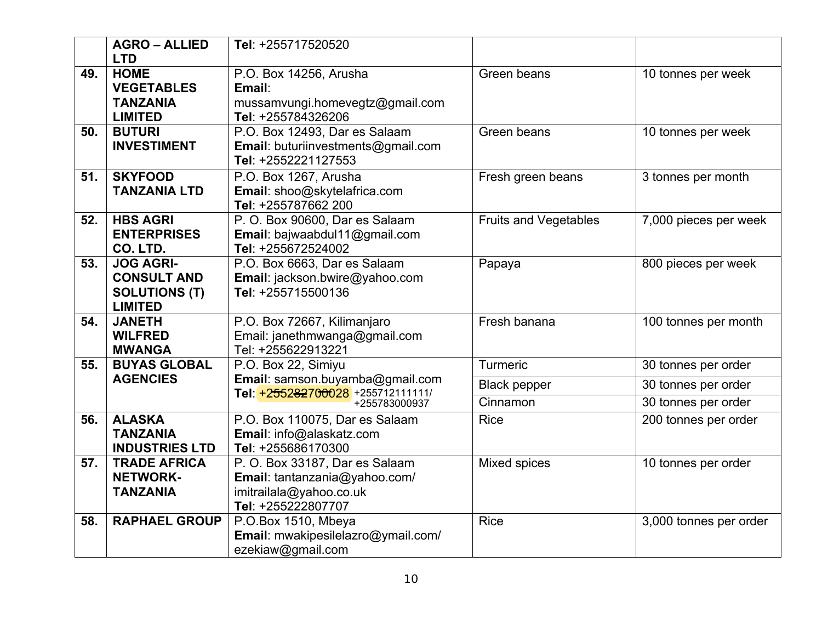|     | <b>AGRO – ALLIED</b>                   | Tel: +255717520520                                     |                              |                        |
|-----|----------------------------------------|--------------------------------------------------------|------------------------------|------------------------|
|     | <b>LTD</b>                             |                                                        |                              |                        |
| 49. | <b>HOME</b>                            | P.O. Box 14256, Arusha                                 | Green beans                  | 10 tonnes per week     |
|     | <b>VEGETABLES</b>                      | Email:                                                 |                              |                        |
|     | <b>TANZANIA</b>                        | mussamvungi.homevegtz@gmail.com                        |                              |                        |
|     | <b>LIMITED</b>                         | Tel: +255784326206                                     |                              |                        |
| 50. | <b>BUTURI</b>                          | P.O. Box 12493, Dar es Salaam                          | Green beans                  | 10 tonnes per week     |
|     | <b>INVESTIMENT</b>                     | Email: buturiinvestments@gmail.com                     |                              |                        |
|     |                                        | Tel: +2552221127553                                    |                              |                        |
| 51. | <b>SKYFOOD</b>                         | P.O. Box 1267, Arusha                                  | Fresh green beans            | 3 tonnes per month     |
|     | <b>TANZANIA LTD</b>                    | Email: shoo@skytelafrica.com                           |                              |                        |
|     |                                        | Tel: +255787662 200                                    |                              |                        |
| 52. | <b>HBS AGRI</b>                        | P. O. Box 90600, Dar es Salaam                         | <b>Fruits and Vegetables</b> | 7,000 pieces per week  |
|     | <b>ENTERPRISES</b>                     | Email: bajwaabdul11@gmail.com                          |                              |                        |
|     | CO. LTD.                               | Tel: +255672524002                                     |                              |                        |
| 53. | <b>JOG AGRI-</b>                       | P.O. Box 6663, Dar es Salaam                           | Papaya                       | 800 pieces per week    |
|     | <b>CONSULT AND</b>                     | Email: jackson.bwire@yahoo.com                         |                              |                        |
|     | <b>SOLUTIONS (T)</b>                   | Tel: +255715500136                                     |                              |                        |
|     | <b>LIMITED</b>                         |                                                        |                              |                        |
| 54. | <b>JANETH</b>                          | P.O. Box 72667, Kilimanjaro                            | Fresh banana                 | 100 tonnes per month   |
|     | <b>WILFRED</b>                         | Email: janethmwanga@gmail.com                          |                              |                        |
|     | <b>MWANGA</b>                          | Tel: +255622913221                                     |                              |                        |
| 55. | <b>BUYAS GLOBAL</b><br><b>AGENCIES</b> | P.O. Box 22, Simiyu<br>Email: samson.buyamba@gmail.com | Turmeric                     | 30 tonnes per order    |
|     |                                        | Tel: +255282700028 +255712111111/                      | <b>Black pepper</b>          | 30 tonnes per order    |
|     |                                        | +255783000937                                          | Cinnamon                     | 30 tonnes per order    |
| 56. | <b>ALASKA</b>                          | P.O. Box 110075, Dar es Salaam                         | <b>Rice</b>                  | 200 tonnes per order   |
|     | <b>TANZANIA</b>                        | Email: info@alaskatz.com                               |                              |                        |
|     | <b>INDUSTRIES LTD</b>                  | Tel: +255686170300                                     |                              |                        |
| 57. | <b>TRADE AFRICA</b>                    | P. O. Box 33187, Dar es Salaam                         | Mixed spices                 | 10 tonnes per order    |
|     | <b>NETWORK-</b>                        | Email: tantanzania@yahoo.com/                          |                              |                        |
|     | <b>TANZANIA</b>                        | imitrailala@yahoo.co.uk                                |                              |                        |
|     |                                        | Tel: +255222807707                                     |                              |                        |
| 58. | <b>RAPHAEL GROUP</b>                   | P.O.Box 1510, Mbeya                                    | <b>Rice</b>                  | 3,000 tonnes per order |
|     |                                        | Email: mwakipesilelazro@ymail.com/                     |                              |                        |
|     |                                        | ezekiaw@gmail.com                                      |                              |                        |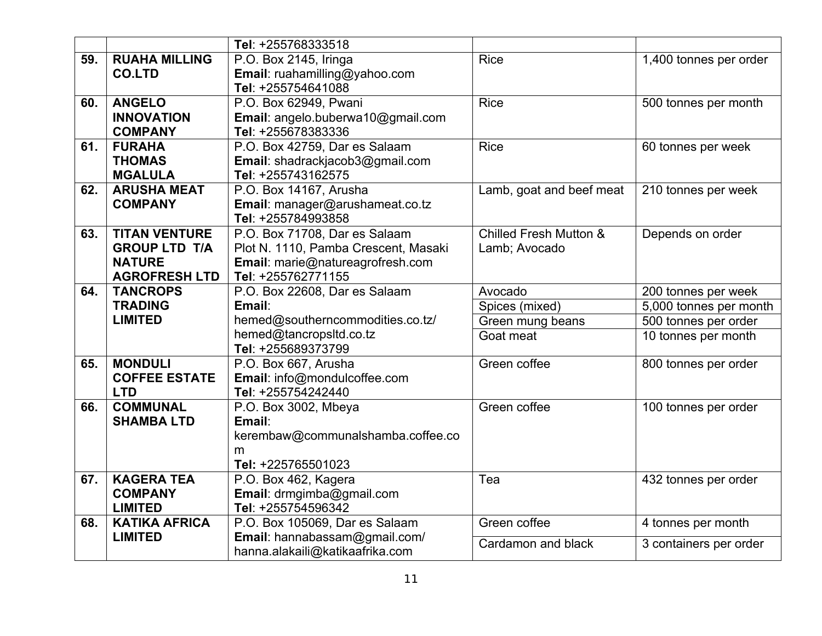|     |                      | Tel: +255768333518                            |                                   |                        |
|-----|----------------------|-----------------------------------------------|-----------------------------------|------------------------|
| 59. | <b>RUAHA MILLING</b> | P.O. Box 2145, Iringa                         | <b>Rice</b>                       | 1,400 tonnes per order |
|     | <b>CO.LTD</b>        | Email: ruahamilling@yahoo.com                 |                                   |                        |
|     |                      | Tel: +255754641088                            |                                   |                        |
| 60. | <b>ANGELO</b>        | P.O. Box 62949, Pwani                         | <b>Rice</b>                       | 500 tonnes per month   |
|     | <b>INNOVATION</b>    | Email: angelo.buberwa10@gmail.com             |                                   |                        |
|     | <b>COMPANY</b>       | Tel: +255678383336                            |                                   |                        |
| 61. | <b>FURAHA</b>        | P.O. Box 42759, Dar es Salaam                 | <b>Rice</b>                       | 60 tonnes per week     |
|     | <b>THOMAS</b>        | Email: shadrackjacob3@gmail.com               |                                   |                        |
|     | <b>MGALULA</b>       | Tel: +255743162575                            |                                   |                        |
| 62. | <b>ARUSHA MEAT</b>   | P.O. Box 14167, Arusha                        | Lamb, goat and beef meat          | 210 tonnes per week    |
|     | <b>COMPANY</b>       | Email: manager@arushameat.co.tz               |                                   |                        |
|     |                      | Tel: +255784993858                            |                                   |                        |
| 63. | <b>TITAN VENTURE</b> | P.O. Box 71708, Dar es Salaam                 | <b>Chilled Fresh Mutton &amp;</b> | Depends on order       |
|     | <b>GROUP LTD T/A</b> | Plot N. 1110, Pamba Crescent, Masaki          | Lamb; Avocado                     |                        |
|     | <b>NATURE</b>        | Email: marie@natureagrofresh.com              |                                   |                        |
|     | <b>AGROFRESH LTD</b> | Tel: +255762771155                            |                                   |                        |
| 64. | <b>TANCROPS</b>      | P.O. Box 22608, Dar es Salaam                 | Avocado                           | 200 tonnes per week    |
|     | <b>TRADING</b>       | Email:                                        | Spices (mixed)                    | 5,000 tonnes per month |
|     | <b>LIMITED</b>       | hemed@southerncommodities.co.tz/              | Green mung beans                  | 500 tonnes per order   |
|     |                      | hemed@tancropsltd.co.tz<br>Tel: +255689373799 | Goat meat                         | 10 tonnes per month    |
| 65. | <b>MONDULI</b>       | P.O. Box 667, Arusha                          | Green coffee                      | 800 tonnes per order   |
|     | <b>COFFEE ESTATE</b> | Email: info@mondulcoffee.com                  |                                   |                        |
|     | <b>LTD</b>           | Tel: +255754242440                            |                                   |                        |
| 66. | <b>COMMUNAL</b>      | P.O. Box 3002, Mbeya                          | Green coffee                      | 100 tonnes per order   |
|     | <b>SHAMBA LTD</b>    | Email:                                        |                                   |                        |
|     |                      | kerembaw@communalshamba.coffee.co             |                                   |                        |
|     |                      | m                                             |                                   |                        |
|     |                      | Tel: +225765501023                            |                                   |                        |
| 67. | <b>KAGERA TEA</b>    | P.O. Box 462, Kagera                          | Tea                               | 432 tonnes per order   |
|     | <b>COMPANY</b>       | Email: drmgimba@gmail.com                     |                                   |                        |
|     | <b>LIMITED</b>       | Tel: +255754596342                            |                                   |                        |
| 68. | <b>KATIKA AFRICA</b> | P.O. Box 105069, Dar es Salaam                | Green coffee                      | 4 tonnes per month     |
|     | <b>LIMITED</b>       | Email: hannabassam@gmail.com/                 | Cardamon and black                |                        |
|     |                      | hanna.alakaili@katikaafrika.com               |                                   | 3 containers per order |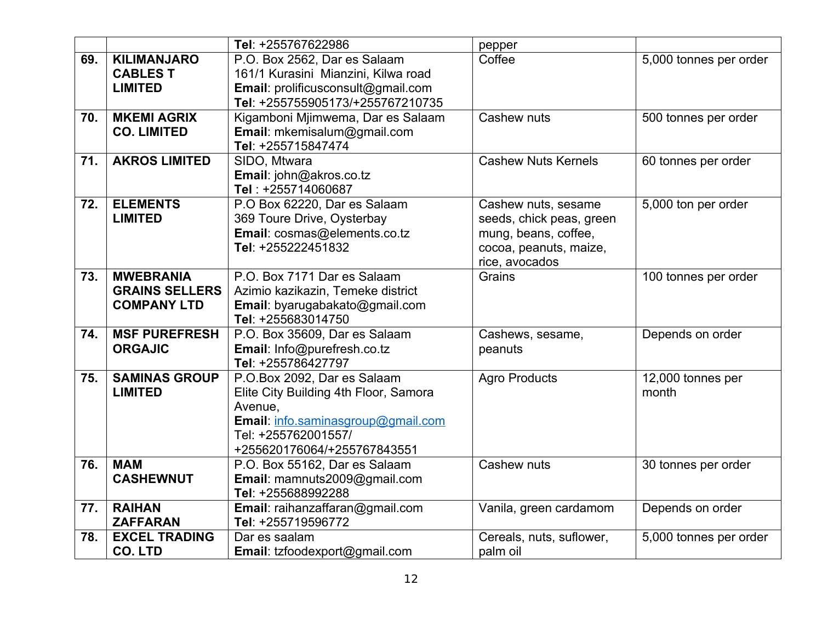|     |                       | Tel: +255767622986                    | pepper                     |                        |
|-----|-----------------------|---------------------------------------|----------------------------|------------------------|
| 69. | <b>KILIMANJARO</b>    | P.O. Box 2562, Dar es Salaam          | Coffee                     | 5,000 tonnes per order |
|     | <b>CABLES T</b>       | 161/1 Kurasini Mianzini, Kilwa road   |                            |                        |
|     | <b>LIMITED</b>        | Email: prolificusconsult@gmail.com    |                            |                        |
|     |                       | Tel: +255755905173/+255767210735      |                            |                        |
| 70. | <b>MKEMI AGRIX</b>    | Kigamboni Mjimwema, Dar es Salaam     | Cashew nuts                | 500 tonnes per order   |
|     | <b>CO. LIMITED</b>    | Email: mkemisalum@gmail.com           |                            |                        |
|     |                       | Tel: +255715847474                    |                            |                        |
| 71. | <b>AKROS LIMITED</b>  | SIDO, Mtwara                          | <b>Cashew Nuts Kernels</b> | 60 tonnes per order    |
|     |                       | Email: john@akros.co.tz               |                            |                        |
|     |                       | Tel: +255714060687                    |                            |                        |
| 72. | <b>ELEMENTS</b>       | P.O Box 62220, Dar es Salaam          | Cashew nuts, sesame        | 5,000 ton per order    |
|     | <b>LIMITED</b>        | 369 Toure Drive, Oysterbay            | seeds, chick peas, green   |                        |
|     |                       | Email: cosmas@elements.co.tz          | mung, beans, coffee,       |                        |
|     |                       | Tel: +255222451832                    | cocoa, peanuts, maize,     |                        |
|     |                       |                                       | rice, avocados             |                        |
| 73. | <b>MWEBRANIA</b>      | P.O. Box 7171 Dar es Salaam           | Grains                     | 100 tonnes per order   |
|     | <b>GRAINS SELLERS</b> | Azimio kazikazin, Temeke district     |                            |                        |
|     | <b>COMPANY LTD</b>    | Email: byarugabakato@gmail.com        |                            |                        |
|     |                       | Tel: +255683014750                    |                            |                        |
| 74. | <b>MSF PUREFRESH</b>  | P.O. Box 35609, Dar es Salaam         | Cashews, sesame,           | Depends on order       |
|     | <b>ORGAJIC</b>        | Email: Info@purefresh.co.tz           | peanuts                    |                        |
|     |                       | Tel: +255786427797                    |                            |                        |
| 75. | <b>SAMINAS GROUP</b>  | P.O.Box 2092, Dar es Salaam           | <b>Agro Products</b>       | 12,000 tonnes per      |
|     | <b>LIMITED</b>        | Elite City Building 4th Floor, Samora |                            | month                  |
|     |                       | Avenue,                               |                            |                        |
|     |                       | Email: info.saminasgroup@gmail.com    |                            |                        |
|     |                       | Tel: +255762001557/                   |                            |                        |
|     |                       | +255620176064/+255767843551           |                            |                        |
| 76. | <b>MAM</b>            | P.O. Box 55162, Dar es Salaam         | Cashew nuts                | 30 tonnes per order    |
|     | <b>CASHEWNUT</b>      | Email: mamnuts2009@gmail.com          |                            |                        |
|     |                       | Tel: +255688992288                    |                            |                        |
| 77. | <b>RAIHAN</b>         | Email: raihanzaffaran@gmail.com       | Vanila, green cardamom     | Depends on order       |
|     | <b>ZAFFARAN</b>       | Tel: +255719596772                    |                            |                        |
| 78. | <b>EXCEL TRADING</b>  | Dar es saalam                         | Cereals, nuts, suflower,   | 5,000 tonnes per order |
|     | <b>CO. LTD</b>        | Email: tzfoodexport@gmail.com         | palm oil                   |                        |